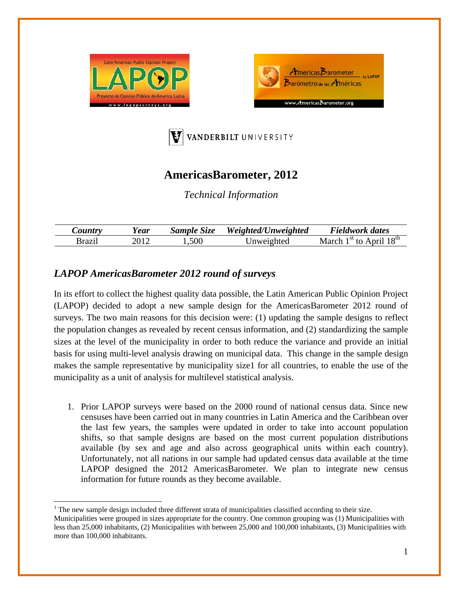





## **AmericasBarometer, 2012**

*Technical Information* 

| $\mathcal{L}$ ountry | ear | Sample Size | Weighted/Unweighted | Fieldwork dates                                          |
|----------------------|-----|-------------|---------------------|----------------------------------------------------------|
| *razii               |     | .,500       | Jnweighted          | April $18th$<br>$\frac{4 \text{st}}{2}$ to $\frac{1}{2}$ |

## *LAPOP AmericasBarometer 2012 round of surveys*

In its effort to collect the highest quality data possible, the Latin American Public Opinion Project (LAPOP) decided to adopt a new sample design for the AmericasBarometer 2012 round of surveys. The two main reasons for this decision were: (1) updating the sample designs to reflect the population changes as revealed by recent census information, and (2) standardizing the sample sizes at the level of the municipality in order to both reduce the variance and provide an initial basis for using multi-level analysis drawing on municipal data. This change in the sample design makes the sample representative by municipality size1 for all countries, to enable the use of the municipality as a unit of analysis for multilevel statistical analysis.

1. Prior LAPOP surveys were based on the 2000 round of national census data. Since new censuses have been carried out in many countries in Latin America and the Caribbean over the last few years, the samples were updated in order to take into account population shifts, so that sample designs are based on the most current population distributions available (by sex and age and also across geographical units within each country). Unfortunately, not all nations in our sample had updated census data available at the time LAPOP designed the 2012 AmericasBarometer. We plan to integrate new census information for future rounds as they become available.

 $<sup>1</sup>$  The new sample design included three different strata of municipalities classified according to their size.</sup> Municipalities were grouped in sizes appropriate for the country. One common grouping was (1) Municipalities with less than 25,000 inhabitants, (2) Municipalities with between 25,000 and 100,000 inhabitants, (3) Municipalities with more than 100,000 inhabitants.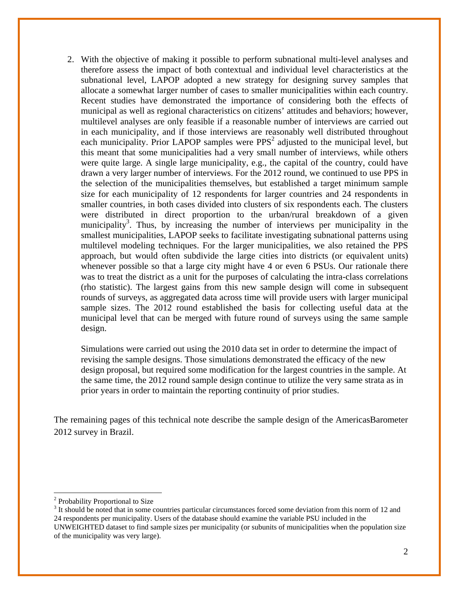2. With the objective of making it possible to perform subnational multi-level analyses and therefore assess the impact of both contextual and individual level characteristics at the subnational level, LAPOP adopted a new strategy for designing survey samples that allocate a somewhat larger number of cases to smaller municipalities within each country. Recent studies have demonstrated the importance of considering both the effects of municipal as well as regional characteristics on citizens' attitudes and behaviors; however, multilevel analyses are only feasible if a reasonable number of interviews are carried out in each municipality, and if those interviews are reasonably well distributed throughout each municipality. Prior LAPOP samples were  $PPS<sup>2</sup>$  adjusted to the municipal level, but this meant that some municipalities had a very small number of interviews, while others were quite large. A single large municipality, e.g., the capital of the country, could have drawn a very larger number of interviews. For the 2012 round, we continued to use PPS in the selection of the municipalities themselves, but established a target minimum sample size for each municipality of 12 respondents for larger countries and 24 respondents in smaller countries, in both cases divided into clusters of six respondents each. The clusters were distributed in direct proportion to the urban/rural breakdown of a given municipality<sup>3</sup>. Thus, by increasing the number of interviews per municipality in the smallest municipalities, LAPOP seeks to facilitate investigating subnational patterns using multilevel modeling techniques. For the larger municipalities, we also retained the PPS approach, but would often subdivide the large cities into districts (or equivalent units) whenever possible so that a large city might have 4 or even 6 PSUs. Our rationale there was to treat the district as a unit for the purposes of calculating the intra-class correlations (rho statistic). The largest gains from this new sample design will come in subsequent rounds of surveys, as aggregated data across time will provide users with larger municipal sample sizes. The 2012 round established the basis for collecting useful data at the municipal level that can be merged with future round of surveys using the same sample design.

Simulations were carried out using the 2010 data set in order to determine the impact of revising the sample designs. Those simulations demonstrated the efficacy of the new design proposal, but required some modification for the largest countries in the sample. At the same time, the 2012 round sample design continue to utilize the very same strata as in prior years in order to maintain the reporting continuity of prior studies.

The remaining pages of this technical note describe the sample design of the AmericasBarometer 2012 survey in Brazil.

 <sup>2</sup> Probability Proportional to Size

<sup>&</sup>lt;sup>3</sup> It should be noted that in some countries particular circumstances forced some deviation from this norm of 12 and 24 respondents per municipality. Users of the database should examine the variable PSU included in the UNWEIGHTED dataset to find sample sizes per municipality (or subunits of municipalities when the population size of the municipality was very large).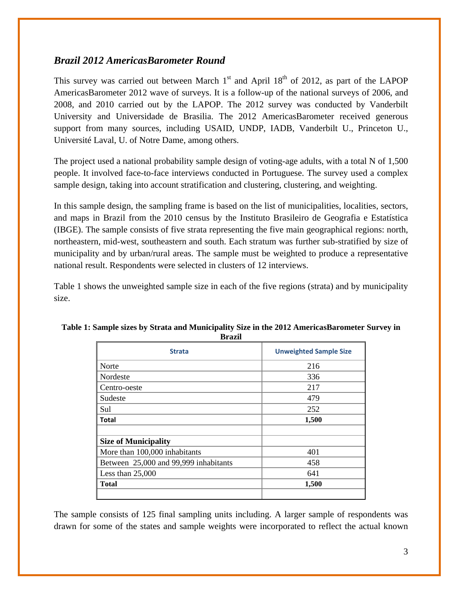## *Brazil 2012 AmericasBarometer Round*

This survey was carried out between March  $1<sup>st</sup>$  and April  $18<sup>th</sup>$  of 2012, as part of the LAPOP AmericasBarometer 2012 wave of surveys. It is a follow-up of the national surveys of 2006, and 2008, and 2010 carried out by the LAPOP. The 2012 survey was conducted by Vanderbilt University and Universidade de Brasilia. The 2012 AmericasBarometer received generous support from many sources, including USAID, UNDP, IADB, Vanderbilt U., Princeton U., Université Laval, U. of Notre Dame, among others.

The project used a national probability sample design of voting-age adults, with a total N of 1,500 people. It involved face-to-face interviews conducted in Portuguese. The survey used a complex sample design, taking into account stratification and clustering, clustering, and weighting.

In this sample design, the sampling frame is based on the list of municipalities, localities, sectors, and maps in Brazil from the 2010 census by the Instituto Brasileiro de Geografia e Estatística (IBGE). The sample consists of five strata representing the five main geographical regions: north, northeastern, mid-west, southeastern and south. Each stratum was further sub-stratified by size of municipality and by urban/rural areas. The sample must be weighted to produce a representative national result. Respondents were selected in clusters of 12 interviews.

Table 1 shows the unweighted sample size in each of the five regions (strata) and by municipality size.

| vı azıı                               |                               |  |  |  |
|---------------------------------------|-------------------------------|--|--|--|
| <b>Strata</b>                         | <b>Unweighted Sample Size</b> |  |  |  |
| Norte                                 | 216                           |  |  |  |
| Nordeste                              | 336                           |  |  |  |
| Centro-oeste                          | 217                           |  |  |  |
| Sudeste                               | 479                           |  |  |  |
| Sul                                   | 252                           |  |  |  |
| <b>Total</b>                          | 1,500                         |  |  |  |
|                                       |                               |  |  |  |
| <b>Size of Municipality</b>           |                               |  |  |  |
| More than 100,000 inhabitants         | 401                           |  |  |  |
| Between 25,000 and 99,999 inhabitants | 458                           |  |  |  |
| Less than $25,000$                    | 641                           |  |  |  |
| Total                                 | 1,500                         |  |  |  |
|                                       |                               |  |  |  |

| Table 1: Sample sizes by Strata and Municipality Size in the 2012 AmericasBarometer Survey in |  |
|-----------------------------------------------------------------------------------------------|--|
| Brazil                                                                                        |  |

The sample consists of 125 final sampling units including. A larger sample of respondents was drawn for some of the states and sample weights were incorporated to reflect the actual known